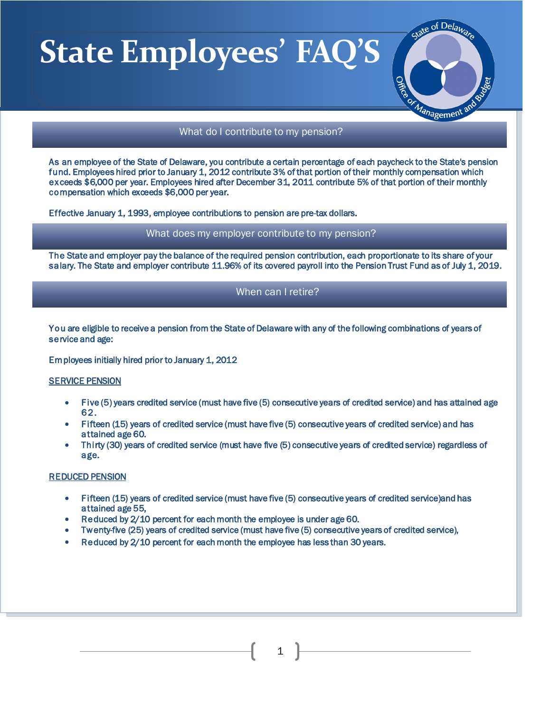

## What do I contribute to my pension?

As an employee of the State of Delaware, you contribute a certain percentage of each paycheck to the State's pension fund. Employees hired prior to January 1, 2012 contribute 3% of that portion of their monthly compensation which exceeds \$6,000 per year. Employees hired after December 31, 2011 contribute 5% of that portion of their monthly compensation which exceeds \$6,000 per year.

Effective January 1, 1993, employee contributions to pension are pre-tax dollars.

What does my employer contribute to my pension?

The State and employer pay the balance of the required pension contribution, each proportionate to its share of your salary. The State and employer contribute 11.96% of its covered payroll into the Pension Trust Fund as of July 1, 2019.

## When can I retire?

You are eligible to receive a pension from the State of Delaware with any of the following combinations of years of service and age:

Employees initially hired prior to January 1, 2012

#### **SERVICE PENSION**

I l,

- Five (5) years credited service (must have five (5) consecutive years of credited service) and has attained age 62.
- Fifteen (15) years of credited service (must have five (5) consecutive years of credited service) and has attained age 60.
- Thirty (30) years of credited service (must have five (5) consecutive years of credited service) regardless of age.

#### REDUCED PENSION

- Fifteen (15) years of credited service (must have five (5) consecutive years of credited service)and has attained age 55,
- Reduced by 2/10 percent for each month the employee is under age 60.
- Twenty-five (25) years of credited service (must have five (5) consecutive years of credited service),
- Reduced by 2/10 percent for each month the employee has less than 30 years.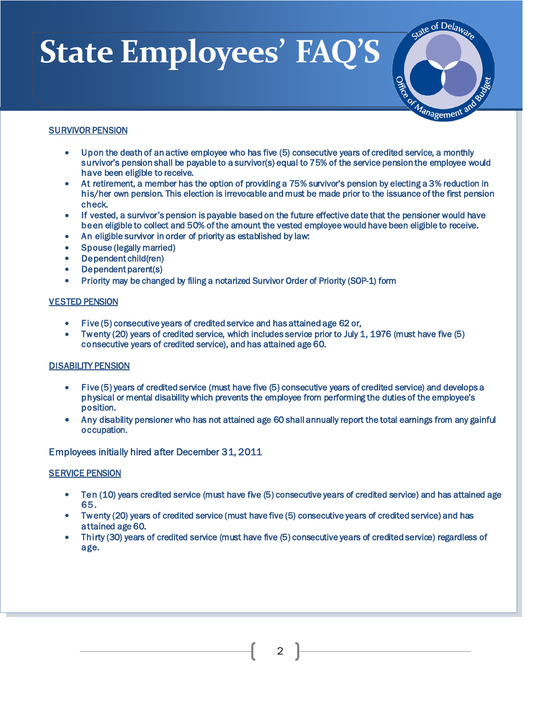

### SURVIVOR PENSION

Ī

- Upon the death of an active employee who has five (5) consecutive years of credited service, a monthly survivor's pension shall be payable to a survivor(s) equal to 75% of the service pension the employee would have been eligible to receive.
- At retirement, a member has the option of providing a 75% survivor's pension by electing a 3% reduction in his/her own pension. This election is irrevocable and must be made prior to the issuance of the first pension check.
- If vested, a survivor's pension is payable based on the future effective date that the pensioner would have been eligible to collect and 50% of the amount the vested employee would have been eligible to receive.
- An eligible survivor in order of priority as established by law:
- Spouse (legally married)
- Dependent child(ren)
- Dependent parent(s)
- Priority may be changed by filing a notarized Survivor Order of Priority (SOP-1) form

#### VESTED PENSION

- Five (5) consecutive years of credited service and has attained age 62 or,
- Twenty (20) years of credited service, which includes service prior to July 1, 1976 (must have five (5) consecutive years of credited service), and has attained age 60.

#### DISABILITY PENSION

- Five (5) years of credited service (must have five (5) consecutive years of credited service) and develops a physical or mental disability which prevents the employee from performing the duties of the employee's position.
- Any disability pensioner who has not attained age 60 shall annually report the total earnings from any gainful occupation.

Employees initially hired after December 31, 2011

### SERVICE PENSION

- Ten (10) years credited service (must have five (5) consecutive years of credited service) and has attained age 65.
- Twenty (20) years of credited service (must have five (5) consecutive years of credited service) and has attained age 60.
- Thirty (30) years of credited service (must have five (5) consecutive years of credited service) regardless of age.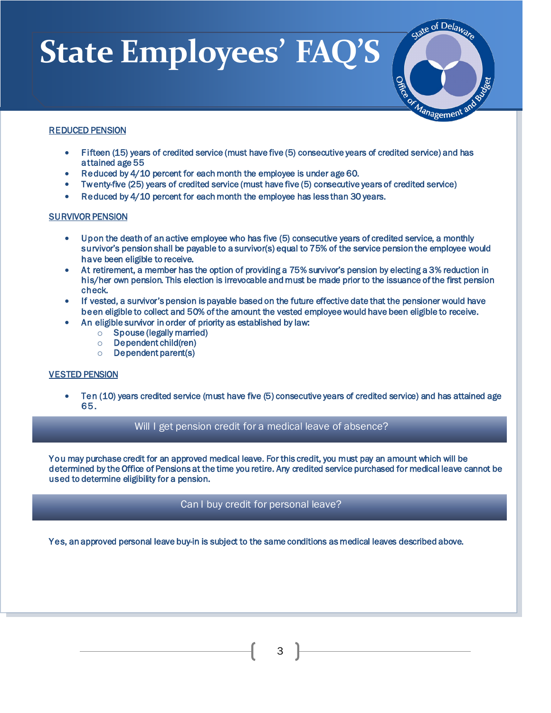

### REDUCED PENSION

Ī

- Fifteen (15) years of credited service (must have five (5) consecutive years of credited service) and has attained age 55
- Reduced by 4/10 percent for each month the employee is under age 60.
- Twenty-five (25) years of credited service (must have five (5) consecutive years of credited service)
- Reduced by 4/10 percent for each month the employee has less than 30 years.

### SURVIVOR PENSION

- Upon the death of an active employee who has five (5) consecutive years of credited service, a monthly survivor's pension shall be payable to a survivor(s) equal to 75% of the service pension the employee would have been eligible to receive.
- At retirement, a member has the option of providing a 75% survivor's pension by electing a 3% reduction in his/her own pension. This election is irrevocable and must be made prior to the issuance of the first pension check.
- If vested, a survivor's pension is payable based on the future effective date that the pensioner would have been eligible to collect and 50% of the amount the vested employee would have been eligible to receive.
	- An eligible survivor in order of priority as established by law:
		- o Spouse (legally married)
		- o Dependent child(ren)
		- o Dependent parent(s)

### VESTED PENSION

í

l

• Ten (10) years credited service (must have five (5) consecutive years of credited service) and has attained age 65.

## Will I get pension credit for a medical leave of absence?

You may purchase credit for an approved medical leave. For this credit, you must pay an amount which will be determined by the Office of Pensions at the time you retire. Any credited service purchased for medical leave cannot be used to determine eligibility for a pension.

## Can I buy credit for personal leave?

Yes, an approved personal leave buy-in is subject to the same conditions as medical leaves described above.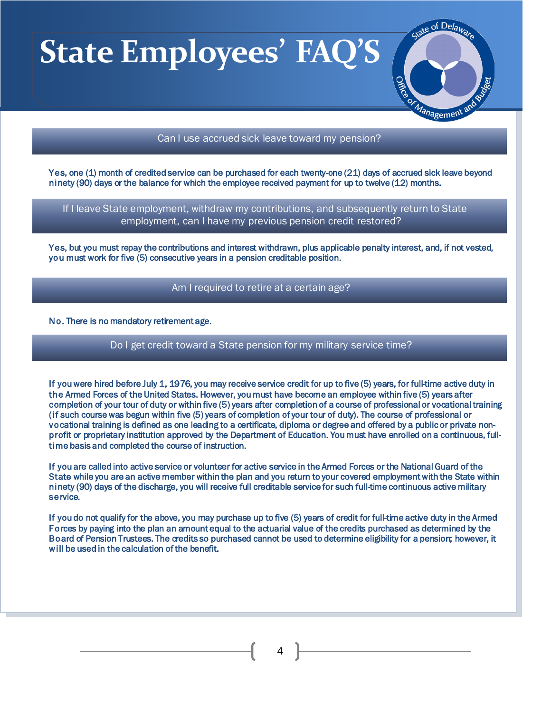

### Can I use accrued sick leave toward my pension?

Yes, one (1) month of credited service can be purchased for each twenty-one (21) days of accrued sick leave beyond ninety (90) days or the balance for which the employee received payment for up to twelve (12) months.

 If I leave State employment, withdraw my contributions, and subsequently return to State employment, can I have my previous pension credit restored?

Yes, but you must repay the contributions and interest withdrawn, plus applicable penalty interest, and, if not vested, you must work for five (5) consecutive years in a pension creditable position.

## Am I required to retire at a certain age?

#### No. There is no mandatory retirement age.

l

í

I

i

֚֚֡

Ξ

### Do I get credit toward a State pension for my military service time?

If you were hired before July 1, 1976, you may receive service credit for up to five (5) years, for full-time active duty in the Armed Forces of the United States. However, you must have become an employee within five (5) years after completion of your tour of duty or within five (5) years after completion of a course of professional or vocational training (if such course was begun within five (5) years of completion of your tour of duty). The course of professional or vocational training is defined as one leading to a certificate, diploma or degree and offered by a public or private nonprofit or proprietary institution approved by the Department of Education. You must have enrolled on a continuous, fulltime basis and completed the course of instruction.

If you are called into active service or volunteer for active service in the Armed Forces or the National Guard of the State while you are an active member within the plan and you return to your covered employment with the State within ninety (90) days of the discharge, you will receive full creditable service for such full-time continuous active military service.

If you do not qualify for the above, you may purchase up to five (5) years of credit for full-time active duty in the Armed Forces by paying into the plan an amount equal to the actuarial value of the credits purchased as determined by the Board of Pension Trustees. The credits so purchased cannot be used to determine eligibility for a pension; however, it will be used in the calculation of the benefit.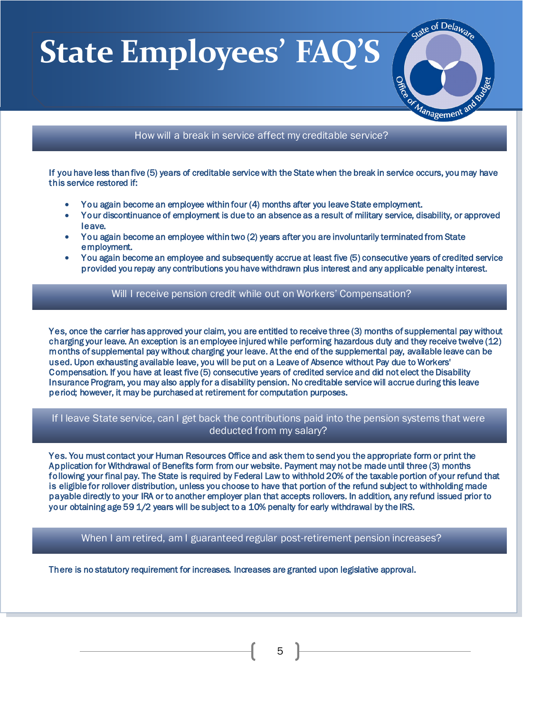Ī

I

i

j



## How will a break in service affect my creditable service?

If you have less than five (5) years of creditable service with the State when the break in service occurs, you may have this service restored if:

- You again become an employee within four (4) months after you leave State employment.
- Your discontinuance of employment is due to an absence as a result of military service, disability, or approved leave.
- You again become an employee within two (2) years after you are involuntarily terminated from State employment.
- You again become an employee and subsequently accrue at least five (5) consecutive years of credited service provided you repay any contributions you have withdrawn plus interest and any applicable penalty interest.

## Will I receive pension credit while out on Workers' Compensation?

Yes, once the carrier has approved your claim, you are entitled to receive three (3) months of supplemental pay without charging your leave. An exception is an employee injured while performing hazardous duty and they receive twelve (12) months of supplemental pay without charging your leave. At the end of the supplemental pay, available leave can be used. Upon exhausting available leave, you will be put on a Leave of Absence without Pay due to Workers' Compensation. If you have at least five (5) consecutive years of credited service and did not elect the Disability Insurance Program, you may also apply for a disability pension. No creditable service will accrue during this leave period; however, it may be purchased at retirement for computation purposes.

# If I leave State service, can I get back the contributions paid into the pension systems that were deducted from my salary?

Yes. You must contact your Human Resources Office and ask them to send you the appropriate form or print the Application for Withdrawal of Benefits form from our website. Payment may not be made until three (3) months following your final pay. The State is required by Federal Law to withhold 20% of the taxable portion of your refund that is eligible for rollover distribution, unless you choose to have that portion of the refund subject to withholding made payable directly to your IRA or to another employer plan that accepts rollovers. In addition, any refund issued prior to your obtaining age 59 1/2 years will be subject to a 10% penalty for early withdrawal by the IRS.

When I am retired, am I guaranteed regular post-retirement pension increases?

There is no statutory requirement for increases. Increases are granted upon legislative approval.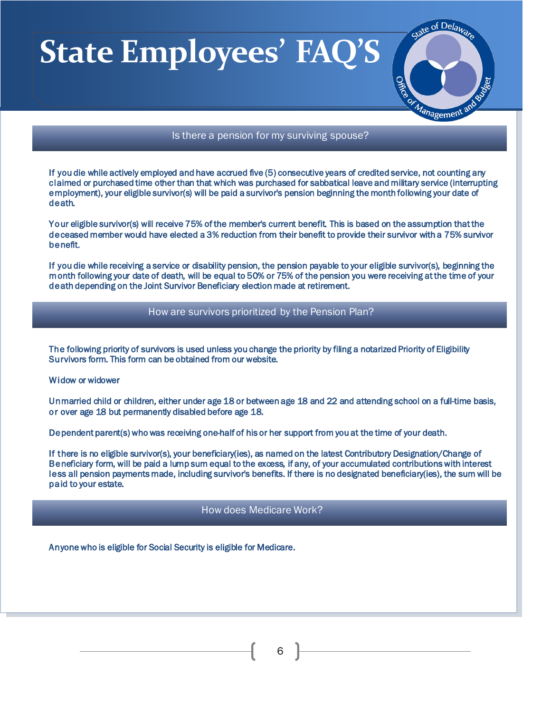

## Is there a pension for my surviving spouse?

If you die while actively employed and have accrued five (5) consecutive years of credited service, not counting any claimed or purchased time other than that which was purchased for sabbatical leave and military service (interrupting employment), your eligible survivor(s) will be paid a survivor's pension beginning the month following your date of death.

Your eligible survivor(s) will receive 75% of the member's current benefit. This is based on the assumption that the deceased member would have elected a 3% reduction from their benefit to provide their survivor with a 75% survivor benefit.

If you die while receiving a service or disability pension, the pension payable to your eligible survivor(s), beginning the month following your date of death, will be equal to 50% or 75% of the pension you were receiving at the time of your death depending on the Joint Survivor Beneficiary election made at retirement.

## How are survivors prioritized by the Pension Plan?

The following priority of survivors is used unless you change the priority by filing a notarized Priority of Eligibility Survivors form. This form can be obtained from our website.

#### Widow or widower

Ī

I

i

i

Unmarried child or children, either under age 18 or between age 18 and 22 and attending school on a full-time basis, or over age 18 but permanently disabled before age 18.

Dependent parent(s) who was receiving one-half of his or her support from you at the time of your death.

If there is no eligible survivor(s), your beneficiary(ies), as named on the latest Contributory Designation/Change of Beneficiary form, will be paid a lump sum equal to the excess, if any, of your accumulated contributions with interest less all pension payments made, including survivor's benefits. If there is no designated beneficiary(ies), the sum will be paid to your estate.

### How does Medicare Work?

Anyone who is eligible for Social Security is eligible for Medicare.